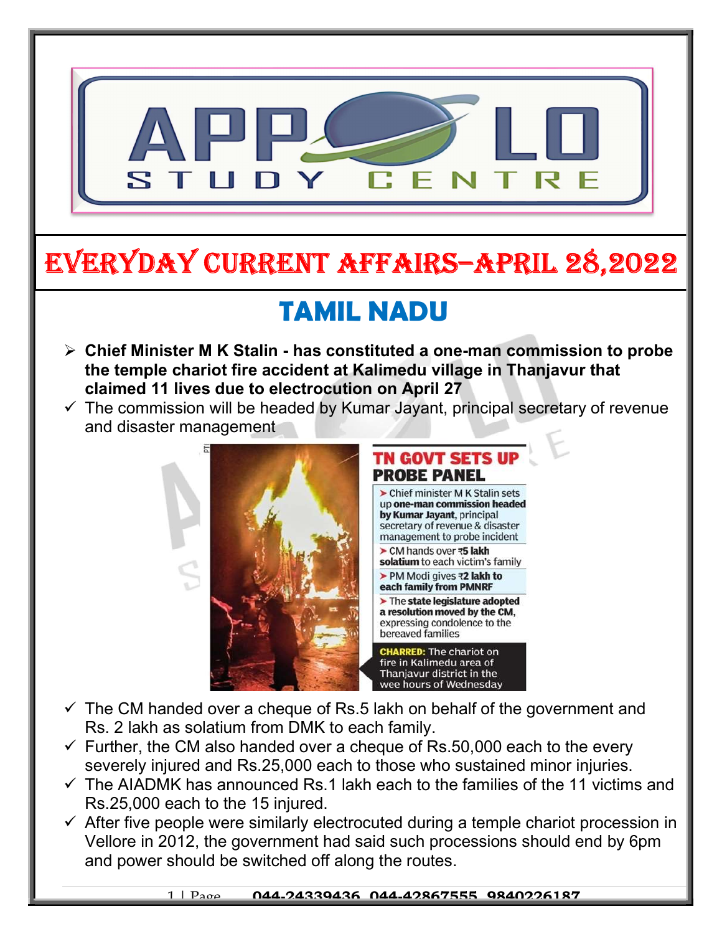

# EVERYDAY CURRENT AFFAIRS–ApRIl 28,2022

# TAMIL NADU

- $\triangleright$  Chief Minister M K Stalin has constituted a one-man commission to probe the temple chariot fire accident at Kalimedu village in Thanjavur that claimed 11 lives due to electrocution on April 27
- $\checkmark$  The commission will be headed by Kumar Jayant, principal secretary of revenue and disaster management



#### **TN GOVT SETS U PROBE PANEL**

> Chief minister M K Stalin sets up one-man commission headed by Kumar Jayant, principal secretary of revenue & disaster management to probe incident

▶ CM hands over ₹5 lakh solatium to each victim's family

▶ PM Modi gives ₹2 lakh to each family from PMNRF

 $\blacktriangleright$  The state legislature adopted a resolution moved by the CM. expressing condolence to the bereaved families

**CHARRED: The chariot on** fire in Kalimedu area of Thanjavur district in the wee hours of Wednesday

- $\checkmark$  The CM handed over a cheque of Rs.5 lakh on behalf of the government and Rs. 2 lakh as solatium from DMK to each family.
- $\checkmark$  Further, the CM also handed over a cheque of Rs.50,000 each to the every severely injured and Rs.25,000 each to those who sustained minor injuries.
- $\checkmark$  The AIADMK has announced Rs.1 lakh each to the families of the 11 victims and Rs.25,000 each to the 15 injured.
- $\checkmark$  After five people were similarly electrocuted during a temple chariot procession in Vellore in 2012, the government had said such processions should end by 6pm and power should be switched off along the routes.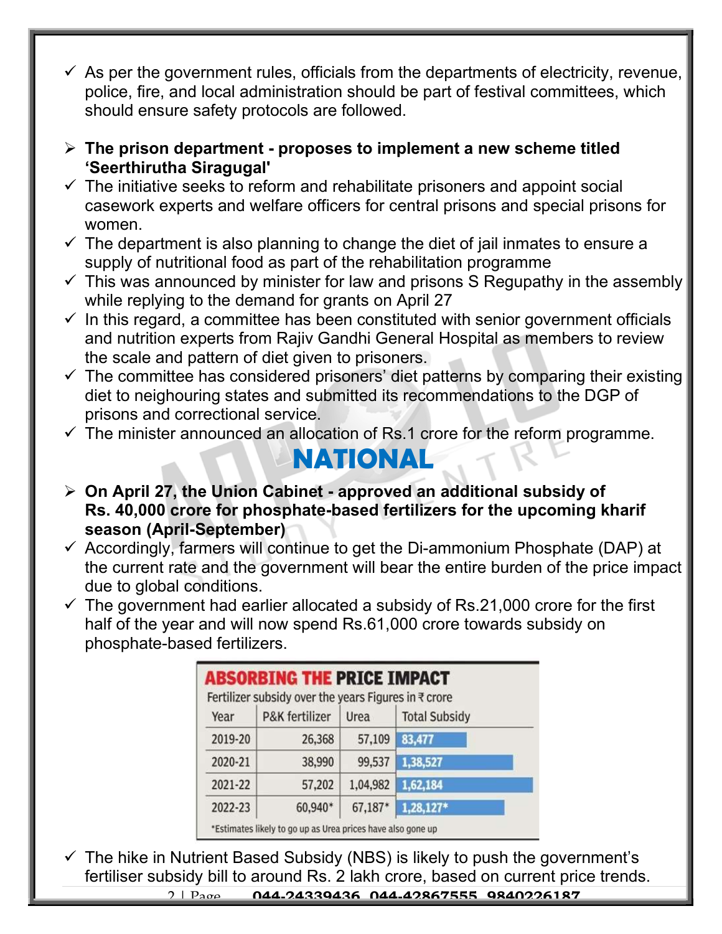- $\checkmark$  As per the government rules, officials from the departments of electricity, revenue, police, fire, and local administration should be part of festival committees, which should ensure safety protocols are followed.
- $\triangleright$  The prison department proposes to implement a new scheme titled 'Seerthirutha Siragugal'
- $\checkmark$  The initiative seeks to reform and rehabilitate prisoners and appoint social casework experts and welfare officers for central prisons and special prisons for women.
- $\checkmark$  The department is also planning to change the diet of jail inmates to ensure a supply of nutritional food as part of the rehabilitation programme
- $\checkmark$  This was announced by minister for law and prisons S Regupathy in the assembly while replying to the demand for grants on April 27
- $\checkmark$  In this regard, a committee has been constituted with senior government officials and nutrition experts from Rajiv Gandhi General Hospital as members to review the scale and pattern of diet given to prisoners.
- $\checkmark$  The committee has considered prisoners' diet patterns by comparing their existing diet to neighouring states and submitted its recommendations to the DGP of prisons and correctional service.
- $\checkmark$  The minister announced an allocation of Rs.1 crore for the reform programme.

#### NATIONAL

- $\triangleright$  On April 27, the Union Cabinet approved an additional subsidy of Rs. 40,000 crore for phosphate-based fertilizers for the upcoming kharif season (April-September)
- $\checkmark$  Accordingly, farmers will continue to get the Di-ammonium Phosphate (DAP) at the current rate and the government will bear the entire burden of the price impact due to global conditions.
- $\checkmark$  The government had earlier allocated a subsidy of Rs.21,000 crore for the first half of the year and will now spend Rs.61,000 crore towards subsidy on phosphate-based fertilizers.

| <b>ABSORBING THE PRICE IMPACT</b><br>Fertilizer subsidy over the years Figures in ₹ crore |                                                             |          |                      |  |
|-------------------------------------------------------------------------------------------|-------------------------------------------------------------|----------|----------------------|--|
| Year                                                                                      | <b>P&amp;K</b> fertilizer                                   | Urea     | <b>Total Subsidy</b> |  |
| 2019-20                                                                                   | 26,368                                                      | 57,109   | 83,477               |  |
| 2020-21                                                                                   | 38,990                                                      | 99,537   | 1,38,527             |  |
| 2021-22                                                                                   | 57,202                                                      | 1,04,982 | 1,62,184             |  |
| 2022-23                                                                                   | 60,940*                                                     | 67,187*  | 1,28,127*            |  |
|                                                                                           | *Estimates likely to go up as Urea prices have also gone up |          |                      |  |

 $\checkmark$  The hike in Nutrient Based Subsidy (NBS) is likely to push the government's fertiliser subsidy bill to around Rs. 2 lakh crore, based on current price trends.

2 | Page 044-24339436, 044-42867555, 9840226187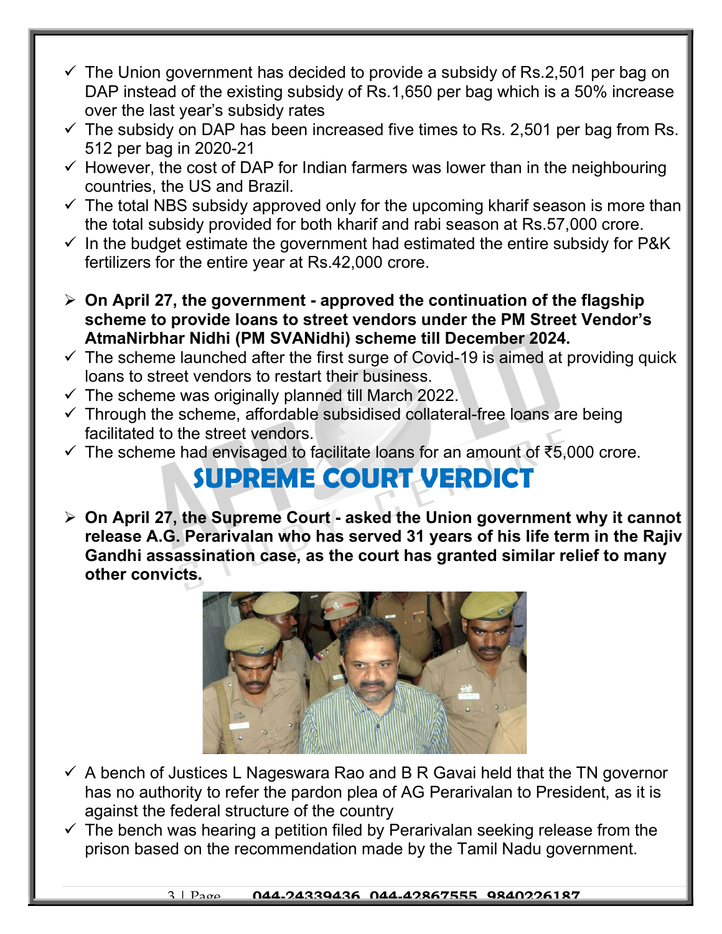- $\checkmark$  The Union government has decided to provide a subsidy of Rs.2,501 per bag on DAP instead of the existing subsidy of Rs.1,650 per bag which is a 50% increase over the last year's subsidy rates
- $\checkmark$  The subsidy on DAP has been increased five times to Rs. 2,501 per bag from Rs. 512 per bag in 2020-21
- $\checkmark$  However, the cost of DAP for Indian farmers was lower than in the neighbouring countries, the US and Brazil.
- $\checkmark$  The total NBS subsidy approved only for the upcoming kharif season is more than the total subsidy provided for both kharif and rabi season at Rs.57,000 crore.
- $\checkmark$  In the budget estimate the government had estimated the entire subsidy for P&K fertilizers for the entire year at Rs.42,000 crore.
- $\geq$  On April 27, the government approved the continuation of the flagship scheme to provide loans to street vendors under the PM Street Vendor's AtmaNirbhar Nidhi (PM SVANidhi) scheme till December 2024.
- $\checkmark$  The scheme launched after the first surge of Covid-19 is aimed at providing quick loans to street vendors to restart their business.
- $\checkmark$  The scheme was originally planned till March 2022.
- $\checkmark$  Through the scheme, affordable subsidised collateral-free loans are being facilitated to the street vendors.
- $\checkmark$  The scheme had envisaged to facilitate loans for an amount of  $\check{\xi}$ 5,000 crore.

### SUPREME COURT VERDICT

 $\triangleright$  On April 27, the Supreme Court - asked the Union government why it cannot release A.G. Perarivalan who has served 31 years of his life term in the Rajiv Gandhi assassination case, as the court has granted similar relief to many other convicts.



- $\checkmark$  A bench of Justices L Nageswara Rao and B R Gavai held that the TN governor has no authority to refer the pardon plea of AG Perarivalan to President, as it is against the federal structure of the country
- $\checkmark$  The bench was hearing a petition filed by Perarivalan seeking release from the prison based on the recommendation made by the Tamil Nadu government.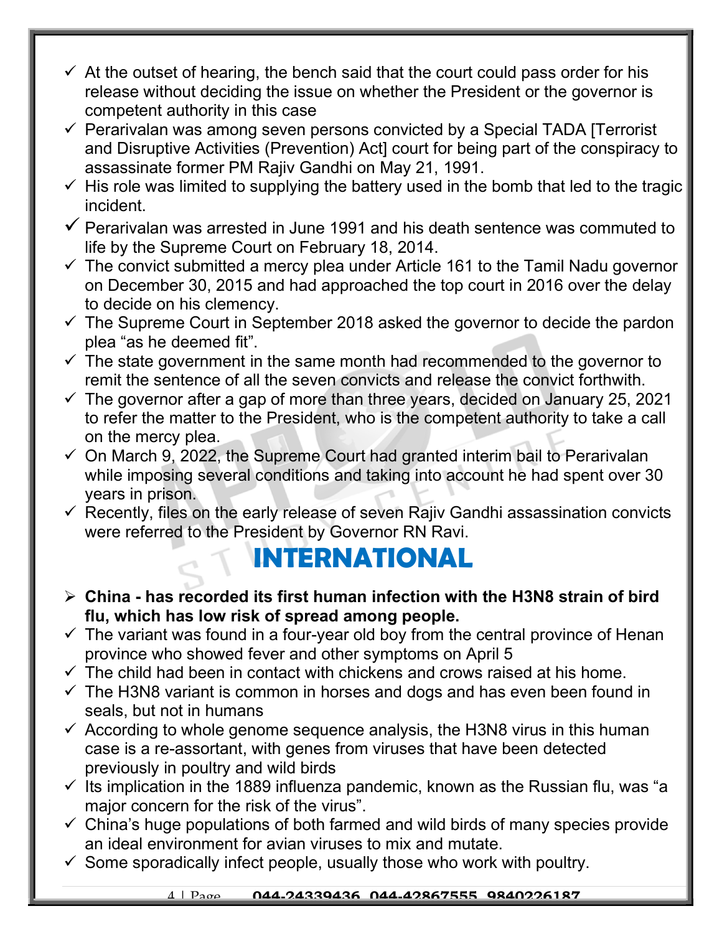- $\checkmark$  At the outset of hearing, the bench said that the court could pass order for his release without deciding the issue on whether the President or the governor is competent authority in this case
- $\checkmark$  Perarivalan was among seven persons convicted by a Special TADA [Terrorist] and Disruptive Activities (Prevention) Act] court for being part of the conspiracy to assassinate former PM Rajiv Gandhi on May 21, 1991.
- $\checkmark$  His role was limited to supplying the battery used in the bomb that led to the tragic incident.
- $\checkmark$  Perarivalan was arrested in June 1991 and his death sentence was commuted to life by the Supreme Court on February 18, 2014.
- $\checkmark$  The convict submitted a mercy plea under Article 161 to the Tamil Nadu governor on December 30, 2015 and had approached the top court in 2016 over the delay to decide on his clemency.
- $\checkmark$  The Supreme Court in September 2018 asked the governor to decide the pardon plea "as he deemed fit".
- $\checkmark$  The state government in the same month had recommended to the governor to remit the sentence of all the seven convicts and release the convict forthwith.
- $\checkmark$  The governor after a gap of more than three years, decided on January 25, 2021 to refer the matter to the President, who is the competent authority to take a call on the mercy plea.
- $\checkmark$  On March 9, 2022, the Supreme Court had granted interim bail to Perarivalan while imposing several conditions and taking into account he had spent over 30 years in prison.
- $\checkmark$  Recently, files on the early release of seven Rajiv Gandhi assassination convicts were referred to the President by Governor RN Ravi.

### INTERNATIONAL

- $\triangleright$  China has recorded its first human infection with the H3N8 strain of bird flu, which has low risk of spread among people.
- $\checkmark$  The variant was found in a four-year old boy from the central province of Henan province who showed fever and other symptoms on April 5
- $\checkmark$  The child had been in contact with chickens and crows raised at his home.
- $\checkmark$  The H3N8 variant is common in horses and dogs and has even been found in seals, but not in humans
- $\checkmark$  According to whole genome sequence analysis, the H3N8 virus in this human case is a re-assortant, with genes from viruses that have been detected previously in poultry and wild birds
- $\checkmark$  Its implication in the 1889 influenza pandemic, known as the Russian flu, was "a major concern for the risk of the virus".
- $\checkmark$  China's huge populations of both farmed and wild birds of many species provide an ideal environment for avian viruses to mix and mutate.
- $\checkmark$  Some sporadically infect people, usually those who work with poultry.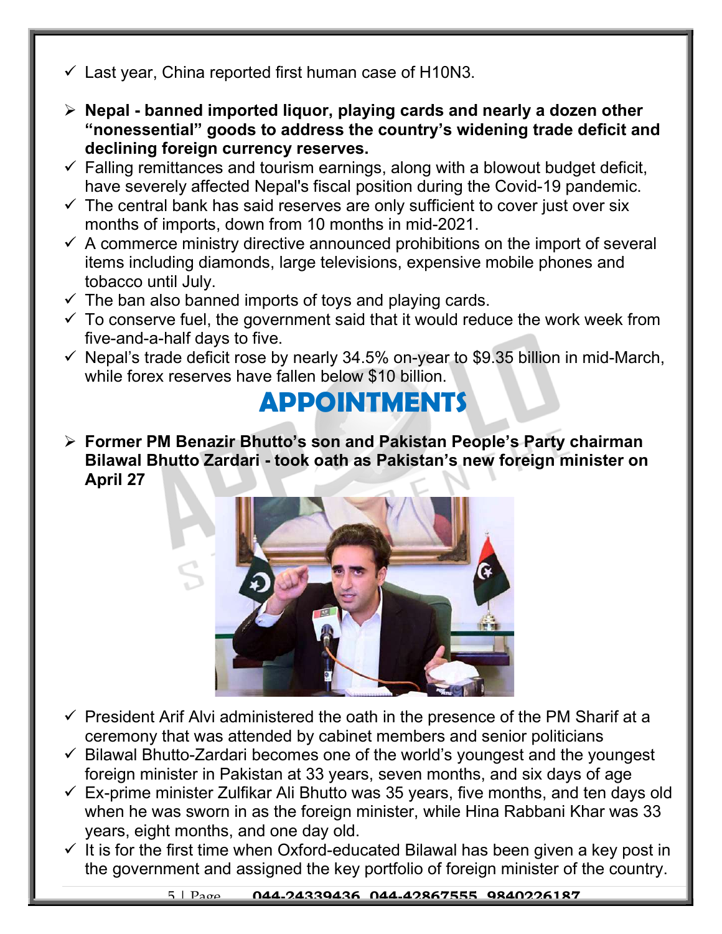- $\checkmark$  Last year, China reported first human case of H10N3.
- $\triangleright$  Nepal banned imported liquor, playing cards and nearly a dozen other "nonessential" goods to address the country's widening trade deficit and declining foreign currency reserves.
- $\checkmark$  Falling remittances and tourism earnings, along with a blowout budget deficit, have severely affected Nepal's fiscal position during the Covid-19 pandemic.
- $\checkmark$  The central bank has said reserves are only sufficient to cover just over six months of imports, down from 10 months in mid-2021.
- $\checkmark$  A commerce ministry directive announced prohibitions on the import of several items including diamonds, large televisions, expensive mobile phones and tobacco until July.
- $\checkmark$  The ban also banned imports of toys and playing cards.
- $\checkmark$  To conserve fuel, the government said that it would reduce the work week from five-and-a-half days to five.
- $\checkmark$  Nepal's trade deficit rose by nearly 34.5% on-year to \$9.35 billion in mid-March, while forex reserves have fallen below \$10 billion.

## APPOINTMENTS

 Former PM Benazir Bhutto's son and Pakistan People's Party chairman Bilawal Bhutto Zardari - took oath as Pakistan's new foreign minister on April 27



- $\checkmark$  President Arif Alvi administered the oath in the presence of the PM Sharif at a ceremony that was attended by cabinet members and senior politicians
- $\checkmark$  Bilawal Bhutto-Zardari becomes one of the world's youngest and the youngest foreign minister in Pakistan at 33 years, seven months, and six days of age
- $\checkmark$  Ex-prime minister Zulfikar Ali Bhutto was 35 years, five months, and ten days old when he was sworn in as the foreign minister, while Hina Rabbani Khar was 33 years, eight months, and one day old.
- $\checkmark$  It is for the first time when Oxford-educated Bilawal has been given a key post in the government and assigned the key portfolio of foreign minister of the country.